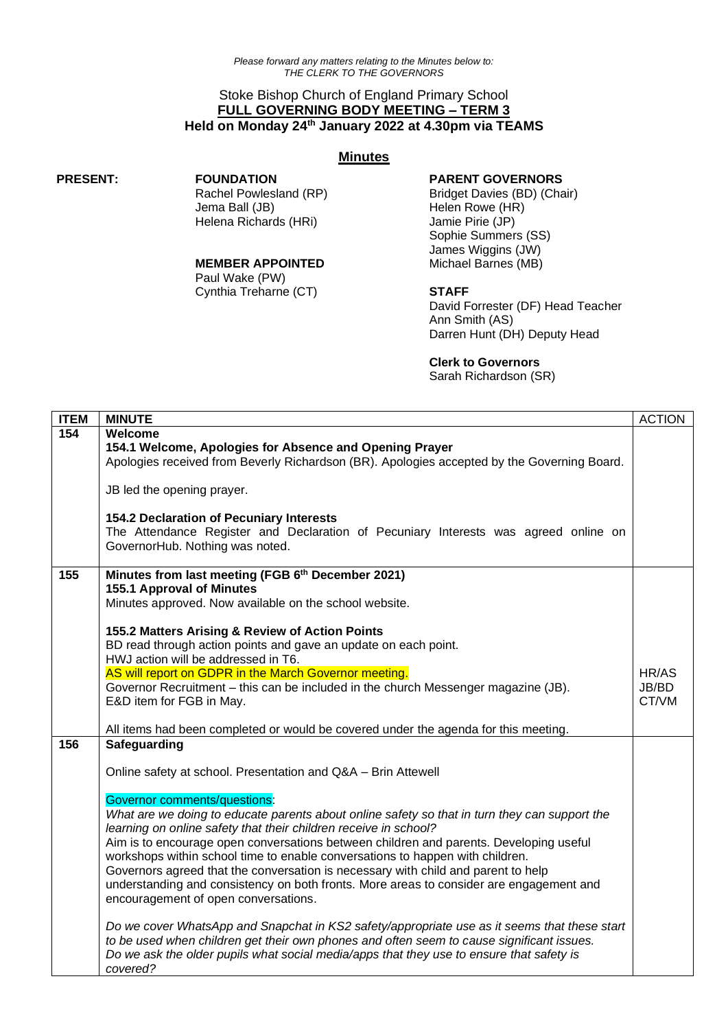# Stoke Bishop Church of England Primary School **FULL GOVERNING BODY MEETING – TERM 3 Held on Monday 24th January 2022 at 4.30pm via TEAMS**

# **Minutes**

**PRESENT: FOUNDATION**

Rachel Powlesland (RP) Jema Ball (JB) Helena Richards (HRi)

#### **MEMBER APPOINTED**

Paul Wake (PW) Cynthia Treharne (CT)

# **PARENT GOVERNORS**

Bridget Davies (BD) (Chair) Helen Rowe (HR) Jamie Pirie (JP) Sophie Summers (SS) James Wiggins (JW) Michael Barnes (MB)

# **STAFF**

David Forrester (DF) Head Teacher Ann Smith (AS) Darren Hunt (DH) Deputy Head

### **Clerk to Governors**

Sarah Richardson (SR)

| <b>ITEM</b> | <b>MINUTE</b>                                                                                                                                                                                                                                                                                                                                                                                                                                                                                                                                                                                                                                                                                                                                                                                                                                                                                                                                                                                     | <b>ACTION</b>           |
|-------------|---------------------------------------------------------------------------------------------------------------------------------------------------------------------------------------------------------------------------------------------------------------------------------------------------------------------------------------------------------------------------------------------------------------------------------------------------------------------------------------------------------------------------------------------------------------------------------------------------------------------------------------------------------------------------------------------------------------------------------------------------------------------------------------------------------------------------------------------------------------------------------------------------------------------------------------------------------------------------------------------------|-------------------------|
| 154         | Welcome<br>154.1 Welcome, Apologies for Absence and Opening Prayer<br>Apologies received from Beverly Richardson (BR). Apologies accepted by the Governing Board.<br>JB led the opening prayer.<br>154.2 Declaration of Pecuniary Interests<br>The Attendance Register and Declaration of Pecuniary Interests was agreed online on<br>GovernorHub. Nothing was noted.                                                                                                                                                                                                                                                                                                                                                                                                                                                                                                                                                                                                                             |                         |
| 155         | Minutes from last meeting (FGB 6th December 2021)<br>155.1 Approval of Minutes<br>Minutes approved. Now available on the school website.<br>155.2 Matters Arising & Review of Action Points<br>BD read through action points and gave an update on each point.<br>HWJ action will be addressed in T6.<br>AS will report on GDPR in the March Governor meeting.<br>Governor Recruitment - this can be included in the church Messenger magazine (JB).<br>E&D item for FGB in May.<br>All items had been completed or would be covered under the agenda for this meeting.                                                                                                                                                                                                                                                                                                                                                                                                                           | HR/AS<br>JB/BD<br>CT/VM |
| 156         | Safeguarding<br>Online safety at school. Presentation and Q&A - Brin Attewell<br><b>Governor comments/questions:</b><br>What are we doing to educate parents about online safety so that in turn they can support the<br>learning on online safety that their children receive in school?<br>Aim is to encourage open conversations between children and parents. Developing useful<br>workshops within school time to enable conversations to happen with children.<br>Governors agreed that the conversation is necessary with child and parent to help<br>understanding and consistency on both fronts. More areas to consider are engagement and<br>encouragement of open conversations.<br>Do we cover WhatsApp and Snapchat in KS2 safety/appropriate use as it seems that these start<br>to be used when children get their own phones and often seem to cause significant issues.<br>Do we ask the older pupils what social media/apps that they use to ensure that safety is<br>covered? |                         |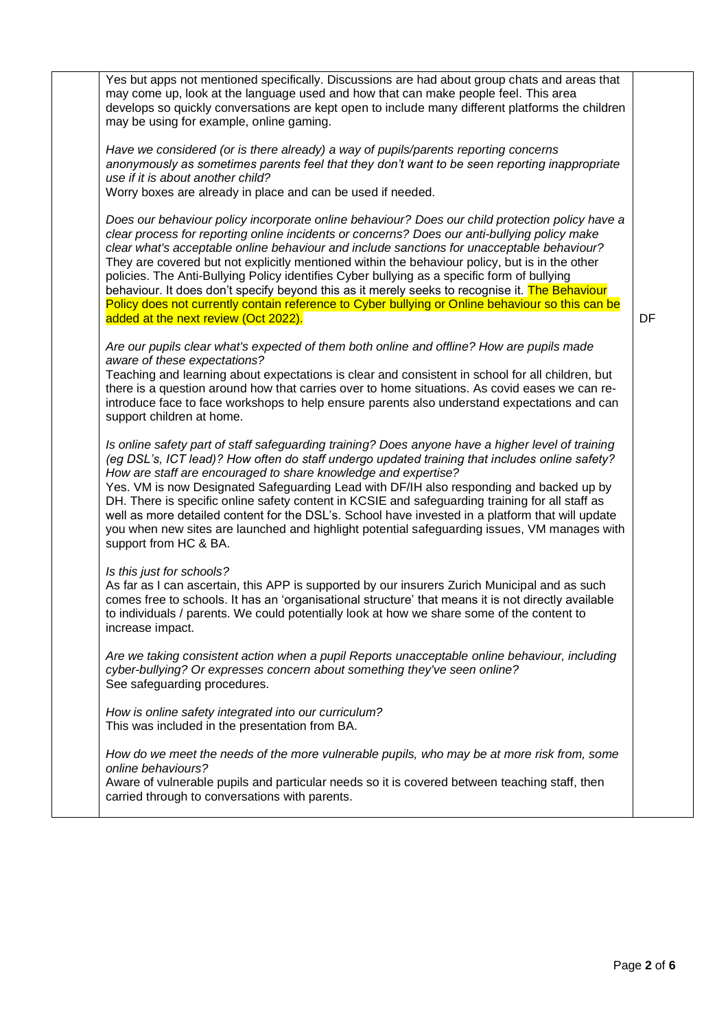| Yes but apps not mentioned specifically. Discussions are had about group chats and areas that<br>may come up, look at the language used and how that can make people feel. This area<br>develops so quickly conversations are kept open to include many different platforms the children<br>may be using for example, online gaming.                                                                                                                                                                                                                                                                                                                                                                                                         |    |
|----------------------------------------------------------------------------------------------------------------------------------------------------------------------------------------------------------------------------------------------------------------------------------------------------------------------------------------------------------------------------------------------------------------------------------------------------------------------------------------------------------------------------------------------------------------------------------------------------------------------------------------------------------------------------------------------------------------------------------------------|----|
| Have we considered (or is there already) a way of pupils/parents reporting concerns<br>anonymously as sometimes parents feel that they don't want to be seen reporting inappropriate<br>use if it is about another child?<br>Worry boxes are already in place and can be used if needed.                                                                                                                                                                                                                                                                                                                                                                                                                                                     |    |
| Does our behaviour policy incorporate online behaviour? Does our child protection policy have a<br>clear process for reporting online incidents or concerns? Does our anti-bullying policy make<br>clear what's acceptable online behaviour and include sanctions for unacceptable behaviour?<br>They are covered but not explicitly mentioned within the behaviour policy, but is in the other<br>policies. The Anti-Bullying Policy identifies Cyber bullying as a specific form of bullying<br>behaviour. It does don't specify beyond this as it merely seeks to recognise it. The Behaviour<br>Policy does not currently contain reference to Cyber bullying or Online behaviour so this can be<br>added at the next review (Oct 2022). | DF |
| Are our pupils clear what's expected of them both online and offline? How are pupils made<br>aware of these expectations?<br>Teaching and learning about expectations is clear and consistent in school for all children, but<br>there is a question around how that carries over to home situations. As covid eases we can re-<br>introduce face to face workshops to help ensure parents also understand expectations and can<br>support children at home.                                                                                                                                                                                                                                                                                 |    |
| Is online safety part of staff safeguarding training? Does anyone have a higher level of training<br>(eg DSL's, ICT lead)? How often do staff undergo updated training that includes online safety?<br>How are staff are encouraged to share knowledge and expertise?<br>Yes. VM is now Designated Safeguarding Lead with DF/IH also responding and backed up by<br>DH. There is specific online safety content in KCSIE and safeguarding training for all staff as<br>well as more detailed content for the DSL's. School have invested in a platform that will update<br>you when new sites are launched and highlight potential safeguarding issues, VM manages with<br>support from HC & BA.                                             |    |
| Is this just for schools?<br>As far as I can ascertain, this APP is supported by our insurers Zurich Municipal and as such<br>comes free to schools. It has an 'organisational structure' that means it is not directly available<br>to individuals / parents. We could potentially look at how we share some of the content to<br>increase impact.                                                                                                                                                                                                                                                                                                                                                                                          |    |
| Are we taking consistent action when a pupil Reports unacceptable online behaviour, including<br>cyber-bullying? Or expresses concern about something they've seen online?<br>See safeguarding procedures.                                                                                                                                                                                                                                                                                                                                                                                                                                                                                                                                   |    |
| How is online safety integrated into our curriculum?<br>This was included in the presentation from BA.                                                                                                                                                                                                                                                                                                                                                                                                                                                                                                                                                                                                                                       |    |
| How do we meet the needs of the more vulnerable pupils, who may be at more risk from, some<br>online behaviours?<br>Aware of vulnerable pupils and particular needs so it is covered between teaching staff, then<br>carried through to conversations with parents.                                                                                                                                                                                                                                                                                                                                                                                                                                                                          |    |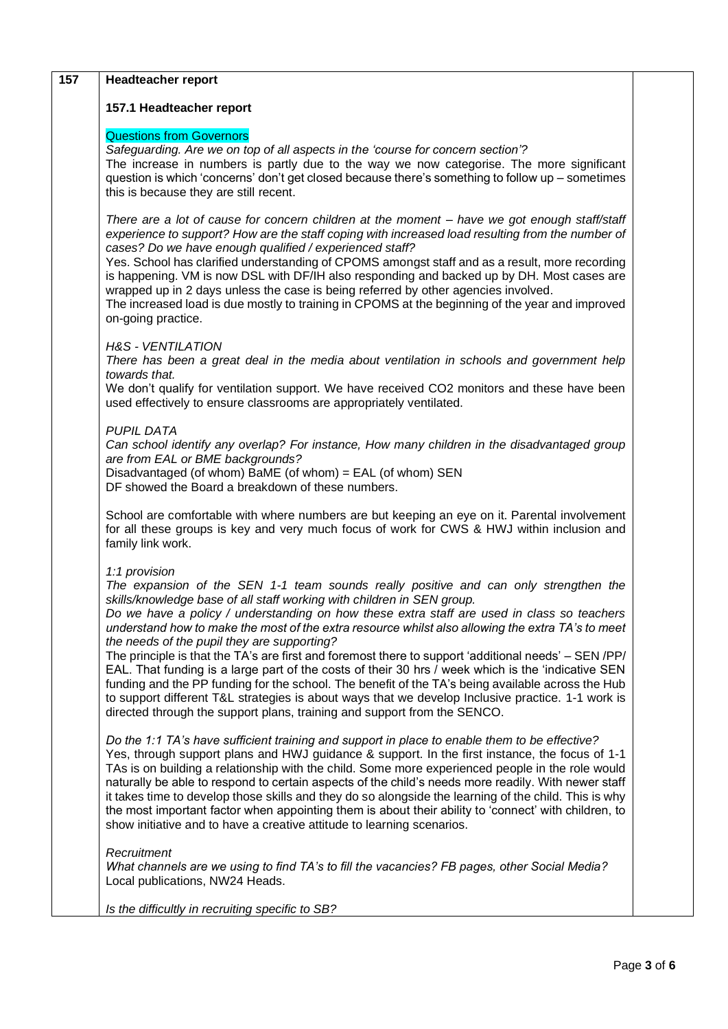| 157 | <b>Headteacher report</b>                                                                                                                                                                                                                                                                                                                                                                                                                                                                                                                                                                                                                                                                                                                                                                                                                                                                                                            |  |
|-----|--------------------------------------------------------------------------------------------------------------------------------------------------------------------------------------------------------------------------------------------------------------------------------------------------------------------------------------------------------------------------------------------------------------------------------------------------------------------------------------------------------------------------------------------------------------------------------------------------------------------------------------------------------------------------------------------------------------------------------------------------------------------------------------------------------------------------------------------------------------------------------------------------------------------------------------|--|
|     | 157.1 Headteacher report                                                                                                                                                                                                                                                                                                                                                                                                                                                                                                                                                                                                                                                                                                                                                                                                                                                                                                             |  |
|     | <b>Questions from Governors</b><br>Safeguarding. Are we on top of all aspects in the 'course for concern section'?<br>The increase in numbers is partly due to the way we now categorise. The more significant<br>question is which 'concerns' don't get closed because there's something to follow up - sometimes<br>this is because they are still recent.                                                                                                                                                                                                                                                                                                                                                                                                                                                                                                                                                                         |  |
|     | There are a lot of cause for concern children at the moment - have we got enough staff/staff<br>experience to support? How are the staff coping with increased load resulting from the number of<br>cases? Do we have enough qualified / experienced staff?<br>Yes. School has clarified understanding of CPOMS amongst staff and as a result, more recording<br>is happening. VM is now DSL with DF/IH also responding and backed up by DH. Most cases are<br>wrapped up in 2 days unless the case is being referred by other agencies involved.<br>The increased load is due mostly to training in CPOMS at the beginning of the year and improved<br>on-going practice.                                                                                                                                                                                                                                                           |  |
|     | <b>H&amp;S - VENTILATION</b><br>There has been a great deal in the media about ventilation in schools and government help<br>towards that.<br>We don't qualify for ventilation support. We have received CO2 monitors and these have been                                                                                                                                                                                                                                                                                                                                                                                                                                                                                                                                                                                                                                                                                            |  |
|     | used effectively to ensure classrooms are appropriately ventilated.                                                                                                                                                                                                                                                                                                                                                                                                                                                                                                                                                                                                                                                                                                                                                                                                                                                                  |  |
|     | <b>PUPIL DATA</b><br>Can school identify any overlap? For instance, How many children in the disadvantaged group<br>are from EAL or BME backgrounds?<br>Disadvantaged (of whom) BaME (of whom) = EAL (of whom) SEN<br>DF showed the Board a breakdown of these numbers.                                                                                                                                                                                                                                                                                                                                                                                                                                                                                                                                                                                                                                                              |  |
|     | School are comfortable with where numbers are but keeping an eye on it. Parental involvement<br>for all these groups is key and very much focus of work for CWS & HWJ within inclusion and<br>family link work.                                                                                                                                                                                                                                                                                                                                                                                                                                                                                                                                                                                                                                                                                                                      |  |
|     | 1:1 provision<br>The expansion of the SEN 1-1 team sounds really positive and can only strengthen the<br>skills/knowledge base of all staff working with children in SEN group.<br>Do we have a policy / understanding on how these extra staff are used in class so teachers<br>understand how to make the most of the extra resource whilst also allowing the extra TA's to meet<br>the needs of the pupil they are supporting?<br>The principle is that the TA's are first and foremost there to support 'additional needs' - SEN/PP/<br>EAL. That funding is a large part of the costs of their 30 hrs / week which is the 'indicative SEN<br>funding and the PP funding for the school. The benefit of the TA's being available across the Hub<br>to support different T&L strategies is about ways that we develop Inclusive practice. 1-1 work is<br>directed through the support plans, training and support from the SENCO. |  |
|     | Do the 1:1 TA's have sufficient training and support in place to enable them to be effective?<br>Yes, through support plans and HWJ guidance & support. In the first instance, the focus of 1-1<br>TAs is on building a relationship with the child. Some more experienced people in the role would<br>naturally be able to respond to certain aspects of the child's needs more readily. With newer staff<br>it takes time to develop those skills and they do so alongside the learning of the child. This is why<br>the most important factor when appointing them is about their ability to 'connect' with children, to<br>show initiative and to have a creative attitude to learning scenarios.                                                                                                                                                                                                                                |  |
|     | Recruitment<br>What channels are we using to find TA's to fill the vacancies? FB pages, other Social Media?<br>Local publications, NW24 Heads.                                                                                                                                                                                                                                                                                                                                                                                                                                                                                                                                                                                                                                                                                                                                                                                       |  |
|     | Is the difficultly in recruiting specific to SB?                                                                                                                                                                                                                                                                                                                                                                                                                                                                                                                                                                                                                                                                                                                                                                                                                                                                                     |  |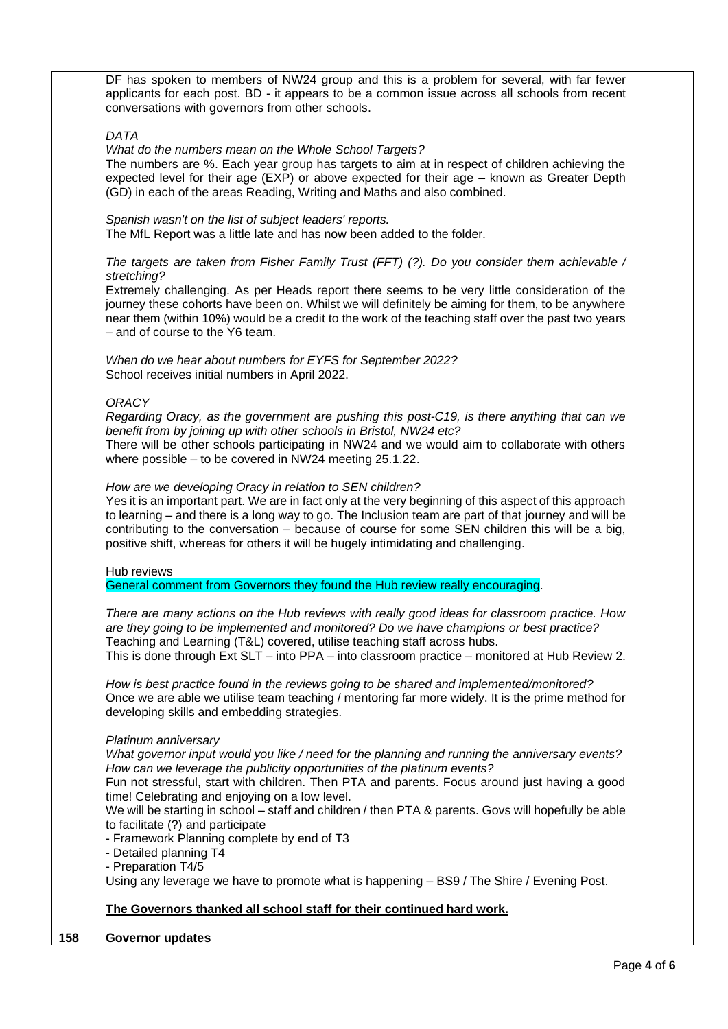DF has spoken to members of NW24 group and this is a problem for several, with far fewer applicants for each post. BD - it appears to be a common issue across all schools from recent conversations with governors from other schools. *DATA What do the numbers mean on the Whole School Targets?* The numbers are %. Each year group has targets to aim at in respect of children achieving the expected level for their age (EXP) or above expected for their age – known as Greater Depth (GD) in each of the areas Reading, Writing and Maths and also combined. *Spanish wasn't on the list of subject leaders' reports.* The MfL Report was a little late and has now been added to the folder. *The targets are taken from Fisher Family Trust (FFT) (?). Do you consider them achievable / stretching?* Extremely challenging. As per Heads report there seems to be very little consideration of the journey these cohorts have been on. Whilst we will definitely be aiming for them, to be anywhere near them (within 10%) would be a credit to the work of the teaching staff over the past two years – and of course to the Y6 team. *When do we hear about numbers for EYFS for September 2022?* School receives initial numbers in April 2022. *ORACY Regarding Oracy, as the government are pushing this post-C19, is there anything that can we benefit from by joining up with other schools in Bristol, NW24 etc?* There will be other schools participating in NW24 and we would aim to collaborate with others where possible – to be covered in NW24 meeting 25.1.22. *How are we developing Oracy in relation to SEN children?* Yes it is an important part. We are in fact only at the very beginning of this aspect of this approach to learning – and there is a long way to go. The Inclusion team are part of that journey and will be contributing to the conversation – because of course for some SEN children this will be a big, positive shift, whereas for others it will be hugely intimidating and challenging. Hub reviews General comment from Governors they found the Hub review really encouraging. *There are many actions on the Hub reviews with really good ideas for classroom practice. How are they going to be implemented and monitored? Do we have champions or best practice?* Teaching and Learning (T&L) covered, utilise teaching staff across hubs. This is done through Ext SLT – into PPA – into classroom practice – monitored at Hub Review 2. *How is best practice found in the reviews going to be shared and implemented/monitored?* Once we are able we utilise team teaching / mentoring far more widely. It is the prime method for developing skills and embedding strategies. *Platinum anniversary What governor input would you like / need for the planning and running the anniversary events? How can we leverage the publicity opportunities of the platinum events?* Fun not stressful, start with children. Then PTA and parents. Focus around just having a good time! Celebrating and enjoying on a low level. We will be starting in school – staff and children / then PTA & parents. Govs will hopefully be able to facilitate (?) and participate - Framework Planning complete by end of T3 - Detailed planning T4 - Preparation T4/5 Using any leverage we have to promote what is happening – BS9 / The Shire / Evening Post. **The Governors thanked all school staff for their continued hard work. 158 Governor updates**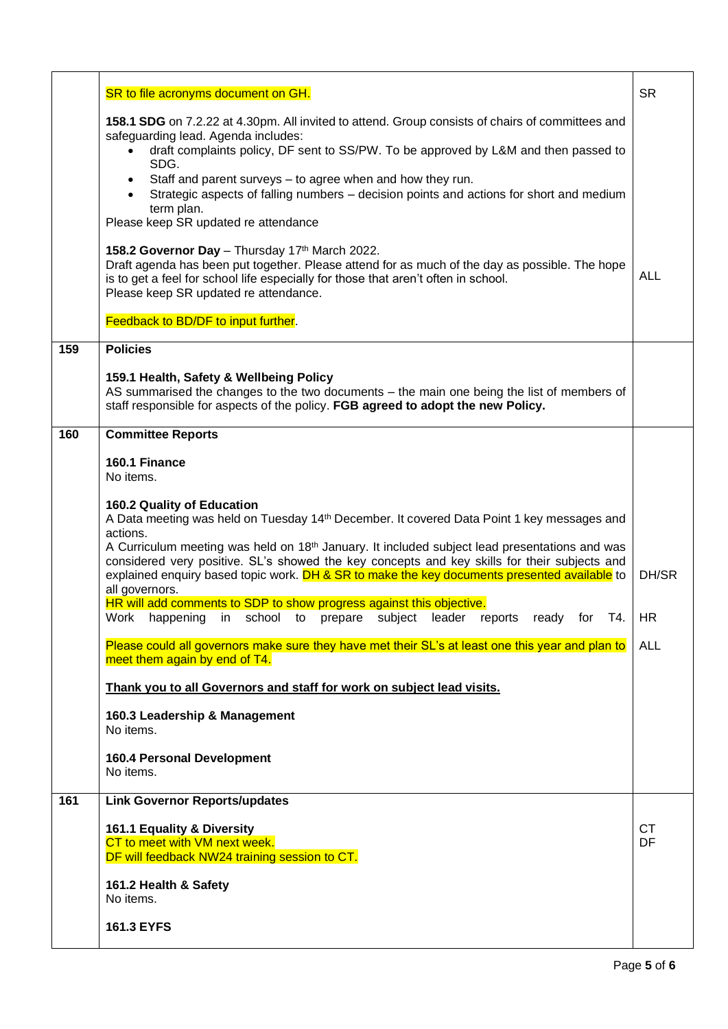|     | SR to file acronyms document on GH.                                                                                                                                                                                                                                                                                         | <b>SR</b>       |
|-----|-----------------------------------------------------------------------------------------------------------------------------------------------------------------------------------------------------------------------------------------------------------------------------------------------------------------------------|-----------------|
|     | 158.1 SDG on 7.2.22 at 4.30pm. All invited to attend. Group consists of chairs of committees and<br>safeguarding lead. Agenda includes:<br>draft complaints policy, DF sent to SS/PW. To be approved by L&M and then passed to<br>SDG.                                                                                      |                 |
|     | Staff and parent surveys - to agree when and how they run.<br>$\bullet$<br>Strategic aspects of falling numbers - decision points and actions for short and medium<br>term plan.<br>Please keep SR updated re attendance                                                                                                    |                 |
|     | 158.2 Governor Day - Thursday 17th March 2022.<br>Draft agenda has been put together. Please attend for as much of the day as possible. The hope<br>is to get a feel for school life especially for those that aren't often in school.<br>Please keep SR updated re attendance.                                             | ALL             |
|     | Feedback to BD/DF to input further.                                                                                                                                                                                                                                                                                         |                 |
| 159 | <b>Policies</b>                                                                                                                                                                                                                                                                                                             |                 |
|     | 159.1 Health, Safety & Wellbeing Policy<br>AS summarised the changes to the two documents - the main one being the list of members of<br>staff responsible for aspects of the policy. FGB agreed to adopt the new Policy.                                                                                                   |                 |
| 160 | <b>Committee Reports</b>                                                                                                                                                                                                                                                                                                    |                 |
|     | 160.1 Finance<br>No items.                                                                                                                                                                                                                                                                                                  |                 |
|     | 160.2 Quality of Education                                                                                                                                                                                                                                                                                                  |                 |
|     | A Data meeting was held on Tuesday 14th December. It covered Data Point 1 key messages and<br>actions.                                                                                                                                                                                                                      |                 |
|     | A Curriculum meeting was held on 18 <sup>th</sup> January. It included subject lead presentations and was<br>considered very positive. SL's showed the key concepts and key skills for their subjects and<br>explained enquiry based topic work. DH & SR to make the key documents presented available to<br>all governors. | DH/SR           |
|     | HR will add comments to SDP to show progress against this objective.<br>Work<br>in<br>ready for T4.<br>happening<br>school to prepare<br>subject<br>leader<br>reports                                                                                                                                                       | HR              |
|     | Please could all governors make sure they have met their SL's at least one this year and plan to<br>meet them again by end of T4.                                                                                                                                                                                           | ALL             |
|     | Thank you to all Governors and staff for work on subject lead visits.                                                                                                                                                                                                                                                       |                 |
|     | 160.3 Leadership & Management<br>No items.                                                                                                                                                                                                                                                                                  |                 |
|     | <b>160.4 Personal Development</b><br>No items.                                                                                                                                                                                                                                                                              |                 |
| 161 | <b>Link Governor Reports/updates</b>                                                                                                                                                                                                                                                                                        |                 |
|     | 161.1 Equality & Diversity<br>CT to meet with VM next week.<br>DF will feedback NW24 training session to CT.                                                                                                                                                                                                                | <b>CT</b><br>DF |
|     | 161.2 Health & Safety<br>No items.                                                                                                                                                                                                                                                                                          |                 |
|     | <b>161.3 EYFS</b>                                                                                                                                                                                                                                                                                                           |                 |